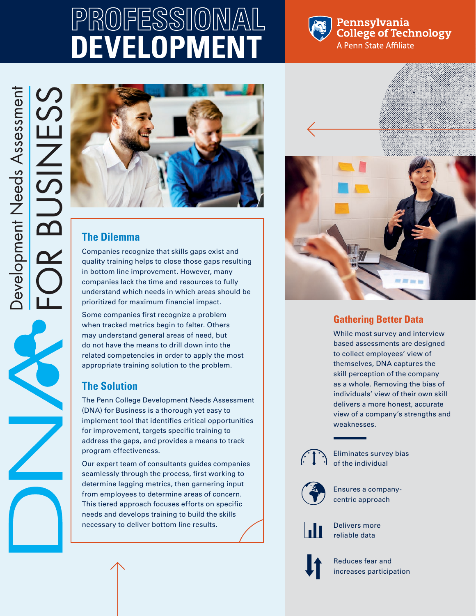# **PROFESSIONAL DEVELOPMENT**



#### Pennsylvania **College of Technology** A Penn State Affiliate

 $\overline{\mathcal{S}}$ 

M



### **The Dilemma**

Companies recognize that skills gaps exist and quality training helps to close those gaps resulting in bottom line improvement. However, many companies lack the time and resources to fully understand which needs in which areas should be prioritized for maximum financial impact.

Some companies first recognize a problem when tracked metrics begin to falter. Others may understand general areas of need, but do not have the means to drill down into the related competencies in order to apply the most appropriate training solution to the problem.

### **The Solution**

The Penn College Development Needs Assessment (DNA) for Business is a thorough yet easy to implement tool that identifies critical opportunities for improvement, targets specific training to address the gaps, and provides a means to track program effectiveness.

Our expert team of consultants guides companies seamlessly through the process, first working to determine lagging metrics, then garnering input from employees to determine areas of concern. This tiered approach focuses efforts on specific needs and develops training to build the skills necessary to deliver bottom line results.



### **Gathering Better Data**

While most survey and interview based assessments are designed to collect employees' view of themselves, DNA captures the skill perception of the company as a whole. Removing the bias of individuals' view of their own skill delivers a more honest, accurate view of a company's strengths and weaknesses.



Eliminates survey bias of the individual



Ensures a companycentric approach



Delivers more reliable data



Reduces fear and increases participation